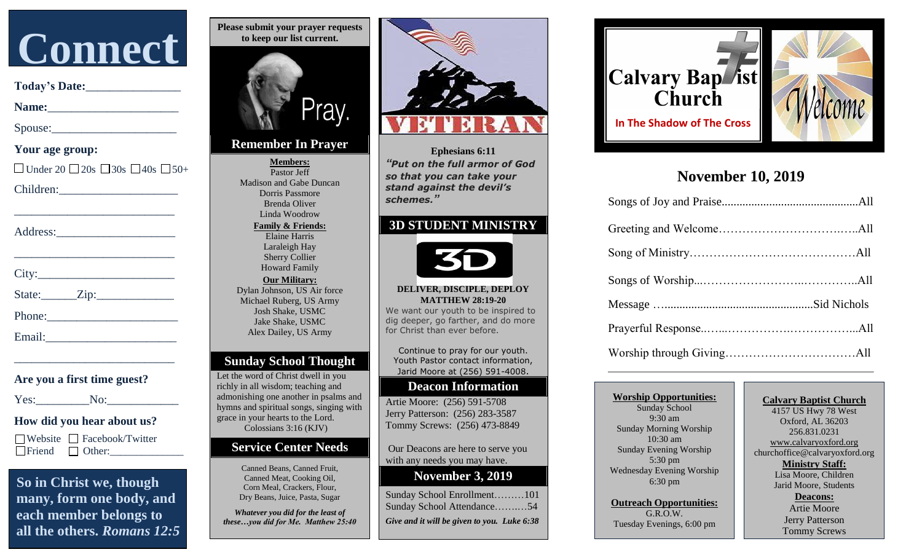

 **Today's Date:**\_\_\_\_\_\_\_\_\_\_\_\_\_\_\_\_

 **Name:**\_\_\_\_\_\_\_\_\_\_\_\_\_\_\_\_\_\_\_\_\_\_

Spouse:

 **Your age group:**

 $\Box$  Under 20  $\Box$  20s  $\Box$  30s  $\Box$  40s  $\Box$  50+

Children:\_\_\_\_\_\_\_\_\_\_\_\_\_\_\_\_\_\_\_\_

Address:

 $City:$ 

State:\_\_\_\_\_\_Zip:\_\_\_\_\_\_\_\_\_\_\_\_\_

 $\frac{1}{2}$  , and the set of the set of the set of the set of the set of the set of the set of the set of the set of the set of the set of the set of the set of the set of the set of the set of the set of the set of the set

 $\frac{1}{2}$  , and the set of the set of the set of the set of the set of the set of the set of the set of the set of the set of the set of the set of the set of the set of the set of the set of the set of the set of the set

Phone:

Email:\_\_\_\_\_\_\_\_\_\_\_\_\_\_\_\_\_\_\_\_\_\_

**0 Are you a first time guest?**

 $\frac{1}{2}$  , and the set of the set of the set of the set of the set of the set of the set of the set of the set of the set of the set of the set of the set of the set of the set of the set of the set of the set of the set

Yes: No:

#### **How did you hear about us?**

Website Facebook/Twitter  $\Box$  Friend  $\Box$  Other:

 **So in Christ we, though many, form one body, and each member belongs to all the others.** *Romans 12:5*



## **Remember In Prayer**

**Members:** Pastor Jeff Madison and Gabe Duncan Dorris Passmore Brenda Oliver Linda Woodrow **Family & Friends:** Elaine Harris Laraleigh Hay Sherry Collier Howard Family **Our Military:** Dylan Johnson, US Air force Michael Ruberg, US Army Josh Shake, USMC Jake Shake, USMC Alex Dailey, US Army

## **Sunday School Thought**

Let the word of Christ dwell in you richly in all wisdom; teaching and admonishing one another in psalms and hymns and spiritual songs, singing with grace in your hearts to the Lord. Colossians 3:16 (KJV)

### **Service Center Needs**

Canned Beans, Canned Fruit, Canned Meat, Cooking Oil, Corn Meal, Crackers, Flour, Dry Beans, Juice, Pasta, Sugar

*Whatever you did for the least of these…you did for Me. Matthew 25:40*



**Ephesians 6:11** *"Put on the full armor of God so that you can take your stand against the devil's schemes."*

## **3D STUDENT MINISTRY**



#### **DELIVER, DISCIPLE, DEPLOY MATTHEW 28:19-20**

We want our youth to be inspired to dig deeper, go farther, and do more for Christ than ever before.

Continue to pray for our youth. Youth Pastor contact information, Jarid Moore at (256) 591-4008.

## **Deacon Information**

Artie Moore: (256) 591-5708 Jerry Patterson: (256) 283-3587 Tommy Screws: (256) 473-8849

Our Deacons are here to serve you with any needs you may have.

## **November 3, 2019**

| Give and it will be given to you. Luke 6:38 |  |
|---------------------------------------------|--|
| Sunday School Attendance54                  |  |
| Sunday School Enrollment101                 |  |



# **November 10, 2019**

**Worship Opportunities:** Sunday School 9:30 am Sunday Morning Worship 10:30 am Sunday Evening Worship 5:30 pm Wednesday Evening Worship 6:30 pm

**Outreach Opportunities:** G.R.O.W. Tuesday Evenings, 6:00 pm

#### **Calvary Baptist Church** 4157 US Hwy 78 West Oxford, AL 36203

256.831.0231 [www.calvaryoxford.org](http://www.calvaryoxford.org/) churchoffice@calvaryoxford.org **Ministry Staff:** Lisa Moore, Children

Jarid Moore, Students

**Deacons:** Artie Moore Jerry Patterson Tommy Screws